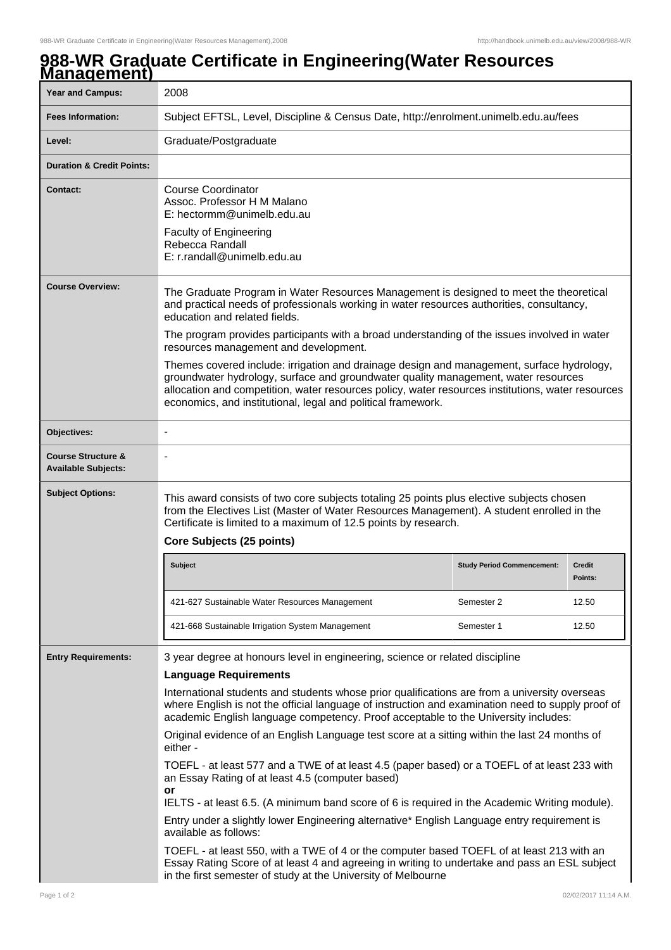## **988-WR Graduate Certificate in Engineering(Water Resources Management)**

| манауспын<br><b>Year and Campus:</b>                        | 2008                                                                                                                                                                                                                                                                                                                                                                                                                                                                                                                                                                                                                                                                                                                                                                                                                                                                                                                                                                                                                                                                                                                                                                    |                                   |                          |  |
|-------------------------------------------------------------|-------------------------------------------------------------------------------------------------------------------------------------------------------------------------------------------------------------------------------------------------------------------------------------------------------------------------------------------------------------------------------------------------------------------------------------------------------------------------------------------------------------------------------------------------------------------------------------------------------------------------------------------------------------------------------------------------------------------------------------------------------------------------------------------------------------------------------------------------------------------------------------------------------------------------------------------------------------------------------------------------------------------------------------------------------------------------------------------------------------------------------------------------------------------------|-----------------------------------|--------------------------|--|
| <b>Fees Information:</b>                                    | Subject EFTSL, Level, Discipline & Census Date, http://enrolment.unimelb.edu.au/fees                                                                                                                                                                                                                                                                                                                                                                                                                                                                                                                                                                                                                                                                                                                                                                                                                                                                                                                                                                                                                                                                                    |                                   |                          |  |
| Level:                                                      | Graduate/Postgraduate                                                                                                                                                                                                                                                                                                                                                                                                                                                                                                                                                                                                                                                                                                                                                                                                                                                                                                                                                                                                                                                                                                                                                   |                                   |                          |  |
| <b>Duration &amp; Credit Points:</b>                        |                                                                                                                                                                                                                                                                                                                                                                                                                                                                                                                                                                                                                                                                                                                                                                                                                                                                                                                                                                                                                                                                                                                                                                         |                                   |                          |  |
| <b>Contact:</b>                                             | <b>Course Coordinator</b><br>Assoc. Professor H M Malano<br>E: hectormm@unimelb.edu.au<br><b>Faculty of Engineering</b><br>Rebecca Randall<br>E: r.randall@unimelb.edu.au                                                                                                                                                                                                                                                                                                                                                                                                                                                                                                                                                                                                                                                                                                                                                                                                                                                                                                                                                                                               |                                   |                          |  |
| <b>Course Overview:</b>                                     | The Graduate Program in Water Resources Management is designed to meet the theoretical<br>and practical needs of professionals working in water resources authorities, consultancy,<br>education and related fields.<br>The program provides participants with a broad understanding of the issues involved in water<br>resources management and development.<br>Themes covered include: irrigation and drainage design and management, surface hydrology,<br>groundwater hydrology, surface and groundwater quality management, water resources<br>allocation and competition, water resources policy, water resources institutions, water resources<br>economics, and institutional, legal and political framework.                                                                                                                                                                                                                                                                                                                                                                                                                                                   |                                   |                          |  |
| Objectives:                                                 | $\overline{a}$                                                                                                                                                                                                                                                                                                                                                                                                                                                                                                                                                                                                                                                                                                                                                                                                                                                                                                                                                                                                                                                                                                                                                          |                                   |                          |  |
| <b>Course Structure &amp;</b><br><b>Available Subjects:</b> |                                                                                                                                                                                                                                                                                                                                                                                                                                                                                                                                                                                                                                                                                                                                                                                                                                                                                                                                                                                                                                                                                                                                                                         |                                   |                          |  |
| <b>Subject Options:</b>                                     | This award consists of two core subjects totaling 25 points plus elective subjects chosen<br>from the Electives List (Master of Water Resources Management). A student enrolled in the<br>Certificate is limited to a maximum of 12.5 points by research.<br>Core Subjects (25 points)                                                                                                                                                                                                                                                                                                                                                                                                                                                                                                                                                                                                                                                                                                                                                                                                                                                                                  |                                   |                          |  |
|                                                             | <b>Subject</b>                                                                                                                                                                                                                                                                                                                                                                                                                                                                                                                                                                                                                                                                                                                                                                                                                                                                                                                                                                                                                                                                                                                                                          | <b>Study Period Commencement:</b> | <b>Credit</b><br>Points: |  |
|                                                             | 421-627 Sustainable Water Resources Management                                                                                                                                                                                                                                                                                                                                                                                                                                                                                                                                                                                                                                                                                                                                                                                                                                                                                                                                                                                                                                                                                                                          | Semester 2                        | 12.50                    |  |
|                                                             | 421-668 Sustainable Irrigation System Management                                                                                                                                                                                                                                                                                                                                                                                                                                                                                                                                                                                                                                                                                                                                                                                                                                                                                                                                                                                                                                                                                                                        | Semester 1                        | 12.50                    |  |
| <b>Entry Requirements:</b>                                  | 3 year degree at honours level in engineering, science or related discipline<br><b>Language Requirements</b><br>International students and students whose prior qualifications are from a university overseas<br>where English is not the official language of instruction and examination need to supply proof of<br>academic English language competency. Proof acceptable to the University includes:<br>Original evidence of an English Language test score at a sitting within the last 24 months of<br>either -<br>TOEFL - at least 577 and a TWE of at least 4.5 (paper based) or a TOEFL of at least 233 with<br>an Essay Rating of at least 4.5 (computer based)<br>or<br>IELTS - at least 6.5. (A minimum band score of 6 is required in the Academic Writing module).<br>Entry under a slightly lower Engineering alternative* English Language entry requirement is<br>available as follows:<br>TOEFL - at least 550, with a TWE of 4 or the computer based TOEFL of at least 213 with an<br>Essay Rating Score of at least 4 and agreeing in writing to undertake and pass an ESL subject<br>in the first semester of study at the University of Melbourne |                                   |                          |  |